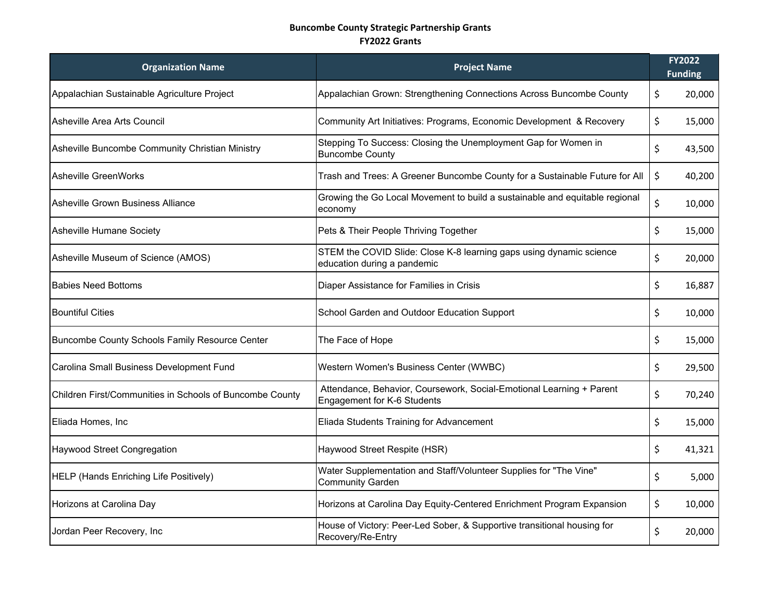## **Buncombe County Strategic Partnership Grants FY2022 Grants**

| <b>Organization Name</b>                                 | <b>Project Name</b>                                                                                 | FY2022<br><b>Funding</b> |
|----------------------------------------------------------|-----------------------------------------------------------------------------------------------------|--------------------------|
| Appalachian Sustainable Agriculture Project              | Appalachian Grown: Strengthening Connections Across Buncombe County                                 | \$<br>20,000             |
| Asheville Area Arts Council                              | Community Art Initiatives: Programs, Economic Development & Recovery                                | \$<br>15,000             |
| Asheville Buncombe Community Christian Ministry          | Stepping To Success: Closing the Unemployment Gap for Women in<br><b>Buncombe County</b>            | \$<br>43,500             |
| <b>Asheville GreenWorks</b>                              | Trash and Trees: A Greener Buncombe County for a Sustainable Future for All                         | \$<br>40,200             |
| Asheville Grown Business Alliance                        | Growing the Go Local Movement to build a sustainable and equitable regional<br>economy              | \$<br>10,000             |
| Asheville Humane Society                                 | Pets & Their People Thriving Together                                                               | \$<br>15,000             |
| Asheville Museum of Science (AMOS)                       | STEM the COVID Slide: Close K-8 learning gaps using dynamic science<br>education during a pandemic  | \$<br>20,000             |
| <b>Babies Need Bottoms</b>                               | Diaper Assistance for Families in Crisis                                                            | \$<br>16,887             |
| <b>Bountiful Cities</b>                                  | School Garden and Outdoor Education Support                                                         | \$<br>10,000             |
| Buncombe County Schools Family Resource Center           | The Face of Hope                                                                                    | \$<br>15,000             |
| Carolina Small Business Development Fund                 | Western Women's Business Center (WWBC)                                                              | \$<br>29,500             |
| Children First/Communities in Schools of Buncombe County | Attendance, Behavior, Coursework, Social-Emotional Learning + Parent<br>Engagement for K-6 Students | \$<br>70,240             |
| Eliada Homes, Inc                                        | Eliada Students Training for Advancement                                                            | \$<br>15,000             |
| <b>Haywood Street Congregation</b>                       | Haywood Street Respite (HSR)                                                                        | \$<br>41,321             |
| HELP (Hands Enriching Life Positively)                   | Water Supplementation and Staff/Volunteer Supplies for "The Vine"<br><b>Community Garden</b>        | \$<br>5,000              |
| Horizons at Carolina Day                                 | Horizons at Carolina Day Equity-Centered Enrichment Program Expansion                               | \$<br>10,000             |
| Jordan Peer Recovery, Inc                                | House of Victory: Peer-Led Sober, & Supportive transitional housing for<br>Recovery/Re-Entry        | \$<br>20,000             |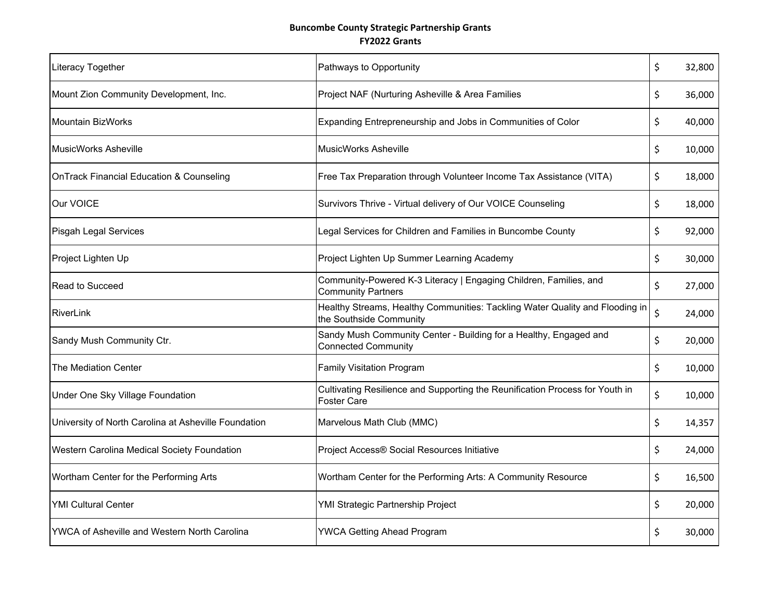## **Buncombe County Strategic Partnership Grants FY2022 Grants**

| <b>Literacy Together</b>                             | Pathways to Opportunity                                                                                 | \$<br>32,800 |
|------------------------------------------------------|---------------------------------------------------------------------------------------------------------|--------------|
| Mount Zion Community Development, Inc.               | Project NAF (Nurturing Asheville & Area Families                                                        | \$<br>36,000 |
| Mountain BizWorks                                    | Expanding Entrepreneurship and Jobs in Communities of Color                                             | \$<br>40,000 |
| <b>MusicWorks Asheville</b>                          | <b>MusicWorks Asheville</b>                                                                             | \$<br>10,000 |
| <b>OnTrack Financial Education &amp; Counseling</b>  | Free Tax Preparation through Volunteer Income Tax Assistance (VITA)                                     | \$<br>18,000 |
| Our VOICE                                            | Survivors Thrive - Virtual delivery of Our VOICE Counseling                                             | \$<br>18,000 |
| Pisgah Legal Services                                | Legal Services for Children and Families in Buncombe County                                             | \$<br>92,000 |
| Project Lighten Up                                   | Project Lighten Up Summer Learning Academy                                                              | \$<br>30,000 |
| Read to Succeed                                      | Community-Powered K-3 Literacy   Engaging Children, Families, and<br><b>Community Partners</b>          | \$<br>27,000 |
| RiverLink                                            | Healthy Streams, Healthy Communities: Tackling Water Quality and Flooding in<br>the Southside Community | \$<br>24,000 |
| Sandy Mush Community Ctr.                            | Sandy Mush Community Center - Building for a Healthy, Engaged and<br><b>Connected Community</b>         | \$<br>20,000 |
| The Mediation Center                                 | <b>Family Visitation Program</b>                                                                        | \$<br>10,000 |
| Under One Sky Village Foundation                     | Cultivating Resilience and Supporting the Reunification Process for Youth in<br><b>Foster Care</b>      | \$<br>10,000 |
| University of North Carolina at Asheville Foundation | Marvelous Math Club (MMC)                                                                               | \$<br>14,357 |
| Western Carolina Medical Society Foundation          | Project Access® Social Resources Initiative                                                             | \$<br>24,000 |
| Wortham Center for the Performing Arts               | Wortham Center for the Performing Arts: A Community Resource                                            | \$<br>16,500 |
| <b>YMI Cultural Center</b>                           | YMI Strategic Partnership Project                                                                       | \$<br>20,000 |
| YWCA of Asheville and Western North Carolina         | <b>YWCA Getting Ahead Program</b>                                                                       | \$<br>30,000 |